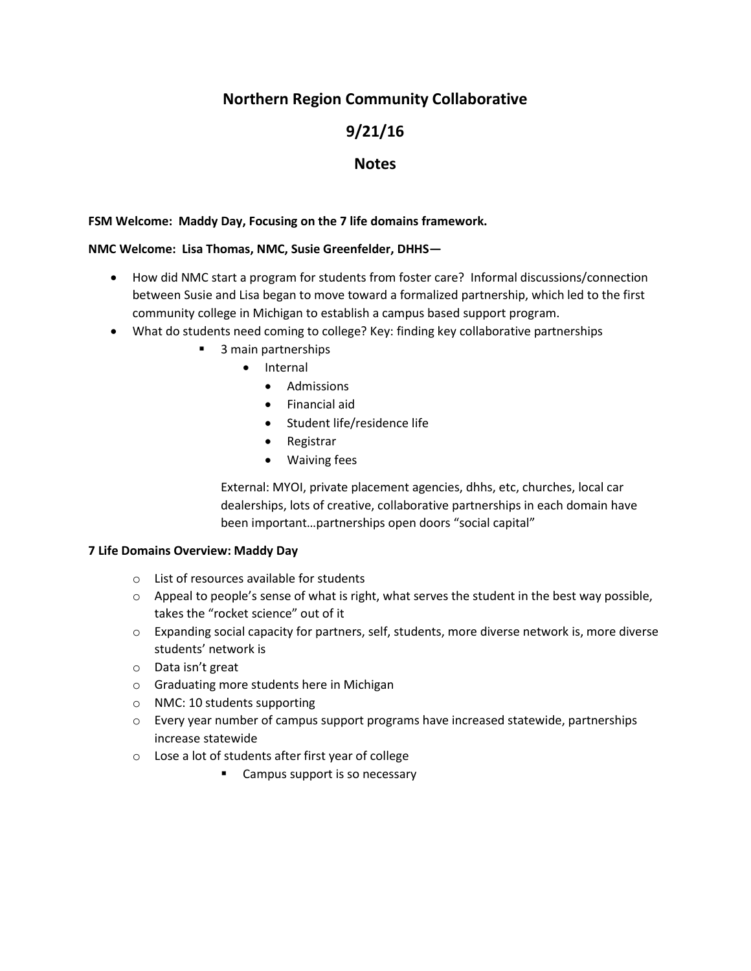# **Northern Region Community Collaborative**

# **9/21/16**

# **Notes**

### **FSM Welcome: Maddy Day, Focusing on the 7 life domains framework.**

### **NMC Welcome: Lisa Thomas, NMC, Susie Greenfelder, DHHS—**

- How did NMC start a program for students from foster care? Informal discussions/connection between Susie and Lisa began to move toward a formalized partnership, which led to the first community college in Michigan to establish a campus based support program.
- What do students need coming to college? Key: finding key collaborative partnerships
	- 3 main partnerships
		- Internal
			- Admissions
			- Financial aid
			- Student life/residence life
			- Registrar
			- Waiving fees

External: MYOI, private placement agencies, dhhs, etc, churches, local car dealerships, lots of creative, collaborative partnerships in each domain have been important…partnerships open doors "social capital"

### **7 Life Domains Overview: Maddy Day**

- o List of resources available for students
- $\circ$  Appeal to people's sense of what is right, what serves the student in the best way possible, takes the "rocket science" out of it
- o Expanding social capacity for partners, self, students, more diverse network is, more diverse students' network is
- o Data isn't great
- o Graduating more students here in Michigan
- o NMC: 10 students supporting
- $\circ$  Every year number of campus support programs have increased statewide, partnerships increase statewide
- o Lose a lot of students after first year of college
	- **EXECOMPUS** Support is so necessary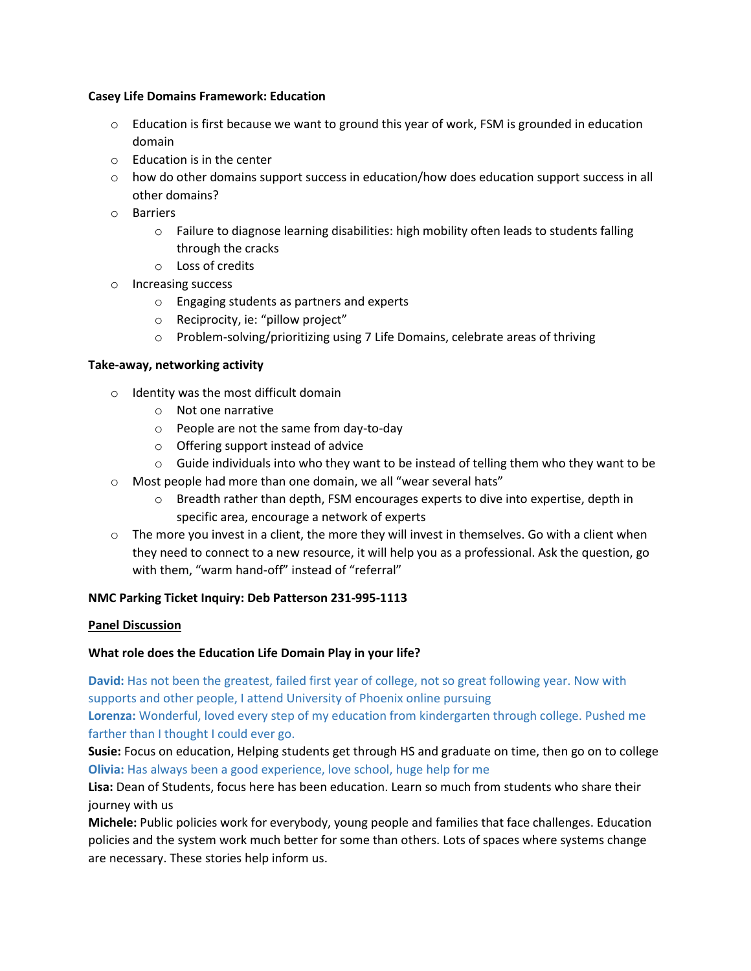#### **Casey Life Domains Framework: Education**

- $\circ$  Education is first because we want to ground this year of work, FSM is grounded in education domain
- o Education is in the center
- $\circ$  how do other domains support success in education/how does education support success in all other domains?
- o Barriers
	- o Failure to diagnose learning disabilities: high mobility often leads to students falling through the cracks
	- o Loss of credits
- o Increasing success
	- o Engaging students as partners and experts
	- o Reciprocity, ie: "pillow project"
	- o Problem-solving/prioritizing using 7 Life Domains, celebrate areas of thriving

#### **Take-away, networking activity**

- o Identity was the most difficult domain
	- o Not one narrative
	- o People are not the same from day-to-day
	- o Offering support instead of advice
- $\circ$  Guide individuals into who they want to be instead of telling them who they want to be
- o Most people had more than one domain, we all "wear several hats"
	- $\circ$  Breadth rather than depth, FSM encourages experts to dive into expertise, depth in specific area, encourage a network of experts
- o The more you invest in a client, the more they will invest in themselves. Go with a client when they need to connect to a new resource, it will help you as a professional. Ask the question, go with them, "warm hand-off" instead of "referral"

### **NMC Parking Ticket Inquiry: Deb Patterson 231-995-1113**

### **Panel Discussion**

### **What role does the Education Life Domain Play in your life?**

**David:** Has not been the greatest, failed first year of college, not so great following year. Now with supports and other people, I attend University of Phoenix online pursuing **Lorenza:** Wonderful, loved every step of my education from kindergarten through college. Pushed me farther than I thought I could ever go.

**Susie:** Focus on education, Helping students get through HS and graduate on time, then go on to college **Olivia:** Has always been a good experience, love school, huge help for me

**Lisa:** Dean of Students, focus here has been education. Learn so much from students who share their journey with us

**Michele:** Public policies work for everybody, young people and families that face challenges. Education policies and the system work much better for some than others. Lots of spaces where systems change are necessary. These stories help inform us.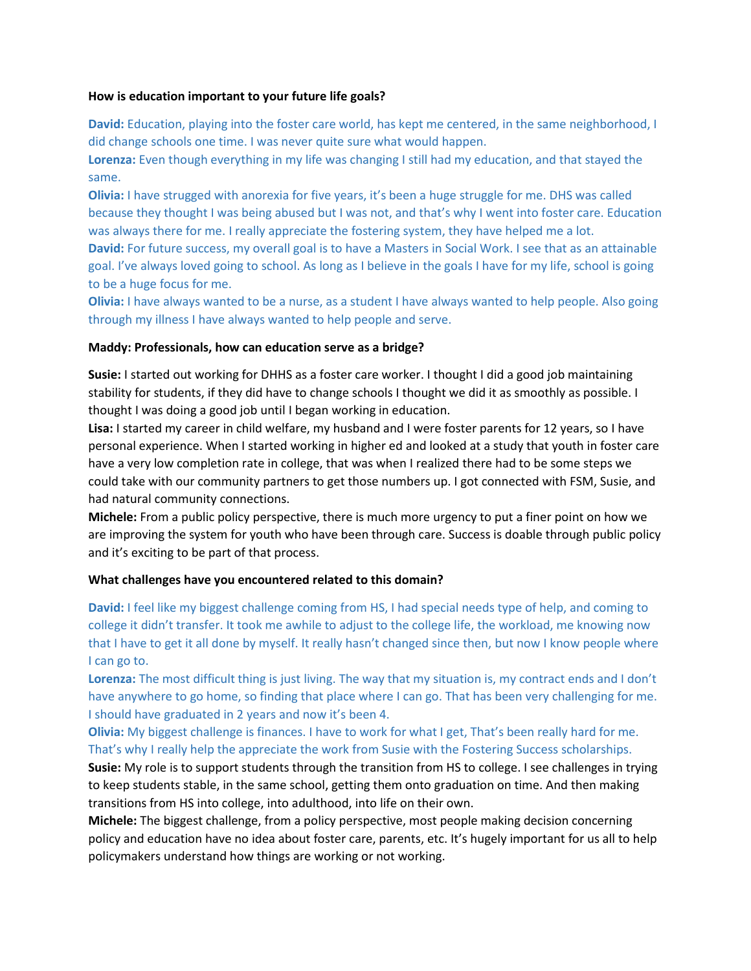#### **How is education important to your future life goals?**

**David:** Education, playing into the foster care world, has kept me centered, in the same neighborhood, I did change schools one time. I was never quite sure what would happen.

**Lorenza:** Even though everything in my life was changing I still had my education, and that stayed the same.

**Olivia:** I have strugged with anorexia for five years, it's been a huge struggle for me. DHS was called because they thought I was being abused but I was not, and that's why I went into foster care. Education was always there for me. I really appreciate the fostering system, they have helped me a lot.

**David:** For future success, my overall goal is to have a Masters in Social Work. I see that as an attainable goal. I've always loved going to school. As long as I believe in the goals I have for my life, school is going to be a huge focus for me.

**Olivia:** I have always wanted to be a nurse, as a student I have always wanted to help people. Also going through my illness I have always wanted to help people and serve.

### **Maddy: Professionals, how can education serve as a bridge?**

**Susie:** I started out working for DHHS as a foster care worker. I thought I did a good job maintaining stability for students, if they did have to change schools I thought we did it as smoothly as possible. I thought I was doing a good job until I began working in education.

**Lisa:** I started my career in child welfare, my husband and I were foster parents for 12 years, so I have personal experience. When I started working in higher ed and looked at a study that youth in foster care have a very low completion rate in college, that was when I realized there had to be some steps we could take with our community partners to get those numbers up. I got connected with FSM, Susie, and had natural community connections.

**Michele:** From a public policy perspective, there is much more urgency to put a finer point on how we are improving the system for youth who have been through care. Success is doable through public policy and it's exciting to be part of that process.

### **What challenges have you encountered related to this domain?**

**David:** I feel like my biggest challenge coming from HS, I had special needs type of help, and coming to college it didn't transfer. It took me awhile to adjust to the college life, the workload, me knowing now that I have to get it all done by myself. It really hasn't changed since then, but now I know people where I can go to.

**Lorenza:** The most difficult thing is just living. The way that my situation is, my contract ends and I don't have anywhere to go home, so finding that place where I can go. That has been very challenging for me. I should have graduated in 2 years and now it's been 4.

**Olivia:** My biggest challenge is finances. I have to work for what I get, That's been really hard for me. That's why I really help the appreciate the work from Susie with the Fostering Success scholarships.

**Susie:** My role is to support students through the transition from HS to college. I see challenges in trying to keep students stable, in the same school, getting them onto graduation on time. And then making transitions from HS into college, into adulthood, into life on their own.

**Michele:** The biggest challenge, from a policy perspective, most people making decision concerning policy and education have no idea about foster care, parents, etc. It's hugely important for us all to help policymakers understand how things are working or not working.